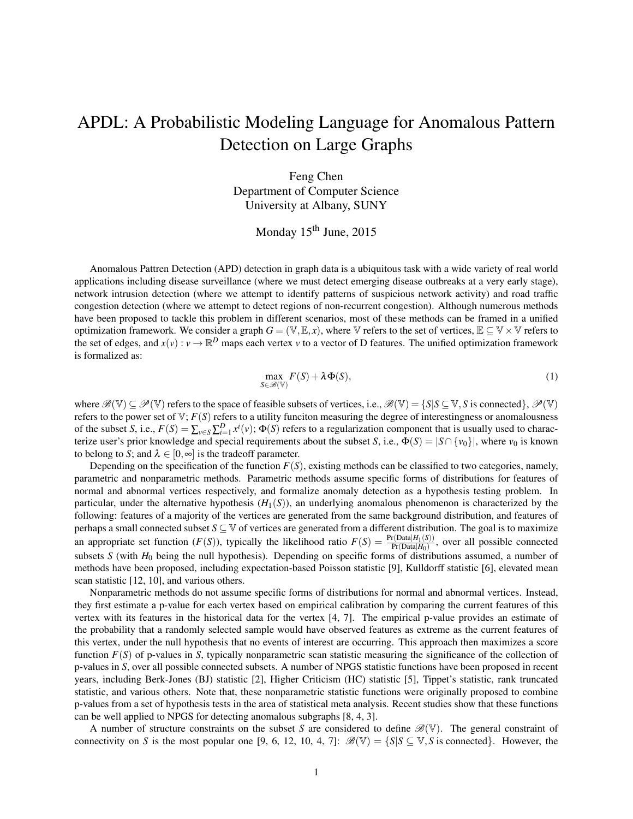## APDL: A Probabilistic Modeling Language for Anomalous Pattern Detection on Large Graphs

Feng Chen Department of Computer Science University at Albany, SUNY

Monday 15<sup>th</sup> June, 2015

Anomalous Pattren Detection (APD) detection in graph data is a ubiquitous task with a wide variety of real world applications including disease surveillance (where we must detect emerging disease outbreaks at a very early stage), network intrusion detection (where we attempt to identify patterns of suspicious network activity) and road traffic congestion detection (where we attempt to detect regions of non-recurrent congestion). Although numerous methods have been proposed to tackle this problem in different scenarios, most of these methods can be framed in a unified optimization framework. We consider a graph  $G = (\mathbb{V}, \mathbb{E}, x)$ , where  $\mathbb{V}$  refers to the set of vertices,  $\mathbb{E} \subseteq \mathbb{V} \times \mathbb{V}$  refers to the set of edges, and  $x(v): v \to \mathbb{R}^D$  maps each vertex *v* to a vector of D features. The unified optimization framework is formalized as:

$$
\max_{S \in \mathcal{B}(\mathbb{V})} F(S) + \lambda \Phi(S),\tag{1}
$$

where  $\mathscr{B}(\mathbb{V}) \subseteq \mathscr{P}(\mathbb{V})$  refers to the space of feasible subsets of vertices, i.e.,  $\mathscr{B}(\mathbb{V}) = \{S | S \subseteq \mathbb{V}, S \text{ is connected} \}, \mathscr{P}(\mathbb{V})$ refers to the power set of  $V$ ;  $F(S)$  refers to a utility funciton measuring the degree of interestingness or anomalousness of the subset *S*, i.e.,  $F(S) = \sum_{v \in S} \sum_{i=1}^{D} x^{i}(v)$ ;  $\Phi(S)$  refers to a regularization component that is usually used to characterize user's prior knowledge and special requirements about the subset *S*, i.e.,  $\Phi(S) = |S \cap \{v_0\}|$ , where  $v_0$  is known to belong to *S*; and  $\lambda \in [0, \infty]$  is the tradeoff parameter.

Depending on the specification of the function  $F(S)$ , existing methods can be classified to two categories, namely, parametric and nonparametric methods. Parametric methods assume specific forms of distributions for features of normal and abnormal vertices respectively, and formalize anomaly detection as a hypothesis testing problem. In particular, under the alternative hypothesis  $(H_1(S))$ , an underlying anomalous phenomenon is characterized by the following: features of a majority of the vertices are generated from the same background distribution, and features of perhaps a small connected subset *S* ⊆ V of vertices are generated from a different distribution. The goal is to maximize an appropriate set function  $(F(S))$ , typically the likelihood ratio  $F(S) = \frac{\Pr(Data|H_1(S))}{\Pr(Data|H_0)}$ , over all possible connected subsets *S* (with  $H_0$  being the null hypothesis). Depending on specific forms of distributions assumed, a number of methods have been proposed, including expectation-based Poisson statistic [9], Kulldorff statistic [6], elevated mean scan statistic [12, 10], and various others.

Nonparametric methods do not assume specific forms of distributions for normal and abnormal vertices. Instead, they first estimate a p-value for each vertex based on empirical calibration by comparing the current features of this vertex with its features in the historical data for the vertex [4, 7]. The empirical p-value provides an estimate of the probability that a randomly selected sample would have observed features as extreme as the current features of this vertex, under the null hypothesis that no events of interest are occurring. This approach then maximizes a score function *F*(*S*) of p-values in *S*, typically nonparametric scan statistic measuring the significance of the collection of p-values in *S*, over all possible connected subsets. A number of NPGS statistic functions have been proposed in recent years, including Berk-Jones (BJ) statistic [2], Higher Criticism (HC) statistic [5], Tippet's statistic, rank truncated statistic, and various others. Note that, these nonparametric statistic functions were originally proposed to combine p-values from a set of hypothesis tests in the area of statistical meta analysis. Recent studies show that these functions can be well applied to NPGS for detecting anomalous subgraphs [8, 4, 3].

A number of structure constraints on the subset *S* are considered to define  $\mathscr{B}(\mathbb{V})$ . The general constraint of connectivity on *S* is the most popular one [9, 6, 12, 10, 4, 7]:  $\mathscr{B}(\mathbb{V}) = \{S | S \subset \mathbb{V}, S \text{ is connected}\}\.$  However, the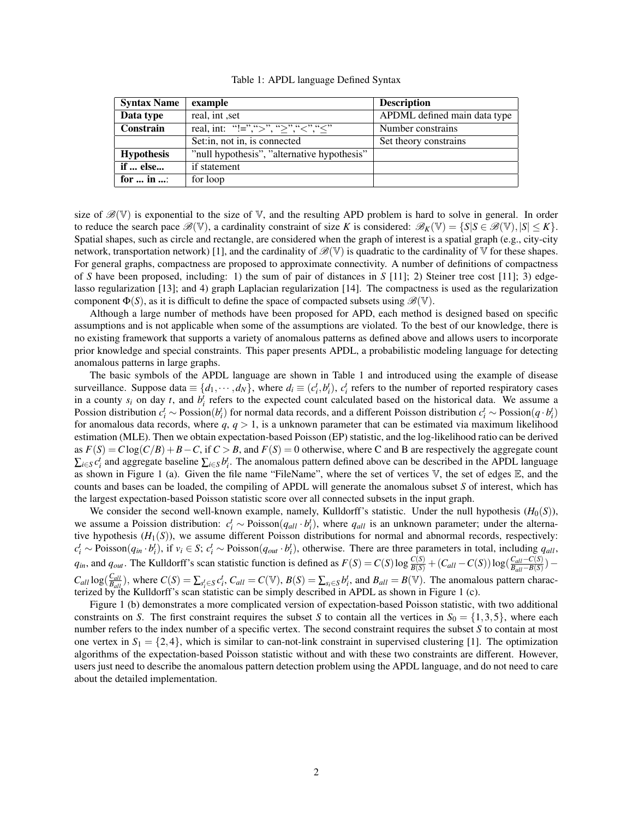| Table 1: APDL language Defined Syntax |  |  |
|---------------------------------------|--|--|
|---------------------------------------|--|--|

| <b>Syntax Name</b>       | example                                     | <b>Description</b>           |
|--------------------------|---------------------------------------------|------------------------------|
| Data type                | real, int, set                              | APDML defined main data type |
| Constrain                | real, int: "!=",">", ">", "<", "<"          | Number constrains            |
|                          | Set: in, not in, is connected               | Set theory constrains        |
| <b>Hypothesis</b>        | "null hypothesis", "alternative hypothesis" |                              |
| if  else                 | if statement                                |                              |
| for $\dots$ in $\dots$ : | for loop                                    |                              |

size of  $\mathscr{B}(\mathbb{V})$  is exponential to the size of  $\mathbb{V}$ , and the resulting APD problem is hard to solve in general. In order to reduce the search pace  $\mathcal{B}(\mathbb{V})$ , a cardinality constraint of size *K* is considered:  $\mathcal{B}_K(\mathbb{V}) = \{S | S \in \mathcal{B}(\mathbb{V}), |S| \le K\}$ . Spatial shapes, such as circle and rectangle, are considered when the graph of interest is a spatial graph (e.g., city-city network, transportation network) [1], and the cardinality of  $\mathscr{B}(\mathbb{V})$  is quadratic to the cardinality of  $\mathbb{V}$  for these shapes. For general graphs, compactness are proposed to approximate connectivity. A number of definitions of compactness of *S* have been proposed, including: 1) the sum of pair of distances in *S* [11]; 2) Steiner tree cost [11]; 3) edgelasso regularization [13]; and 4) graph Laplacian regularization [14]. The compactness is used as the regularization component  $\Phi(S)$ , as it is difficult to define the space of compacted subsets using  $\mathscr{B}(\mathbb{V})$ .

Although a large number of methods have been proposed for APD, each method is designed based on specific assumptions and is not applicable when some of the assumptions are violated. To the best of our knowledge, there is no existing framework that supports a variety of anomalous patterns as defined above and allows users to incorporate prior knowledge and special constraints. This paper presents APDL, a probabilistic modeling language for detecting anomalous patterns in large graphs.

The basic symbols of the APDL language are shown in Table 1 and introduced using the example of disease surveillance. Suppose data  $\equiv \{d_1, \dots, d_N\}$ , where  $d_i \equiv (c_i^t, b_i^t)$ ,  $c_i^t$  refers to the number of reported respiratory cases in a county  $s_i$  on day *t*, and  $b_i^t$  refers to the expected count calculated based on the historical data. We assume a Possion distribution  $c_i^t \sim \text{Position}(b_i^t)$  for normal data records, and a different Poisson distribution  $c_i^t \sim \text{Position}(q \cdot b_i^t)$ for anomalous data records, where  $q$ ,  $q > 1$ , is a unknown parameter that can be estimated via maximum likelihood estimation (MLE). Then we obtain expectation-based Poisson (EP) statistic, and the log-likelihood ratio can be derived as  $F(S) = C \log(C/B) + B - C$ , if  $C > B$ , and  $F(S) = 0$  otherwise, where C and B are respectively the aggregate count  $\sum_{i \in S} c_i^t$  and aggregate baseline  $\sum_{i \in S} b_i^t$ . The anomalous pattern defined above can be described in the APDL language as shown in Figure 1 (a). Given the file name "FileName", where the set of vertices  $V$ , the set of edges  $E$ , and the counts and bases can be loaded, the compiling of APDL will generate the anomalous subset *S* of interest, which has the largest expectation-based Poisson statistic score over all connected subsets in the input graph.

We consider the second well-known example, namely, Kulldorff's statistic. Under the null hypothesis  $(H_0(S))$ , we assume a Poission distribution:  $c_i^t \sim \text{Poisson}(q_{all} \cdot b_i^t)$ , where  $q_{all}$  is an unknown parameter; under the alternative hypothesis  $(H_1(S))$ , we assume different Poisson distributions for normal and abnormal records, respectively:  $c_i^t$  ~ Poisson $(q_{in} \cdot b_i^t)$ , if  $v_i \in S$ ;  $c_i^t$  ~ Poisson $(q_{out} \cdot b_i^t)$ , otherwise. There are three parameters in total, including  $q_{all}$ ,  $q_{in}$ , and  $q_{out}$ . The Kulldorff's scan statistic function is defined as  $F(S) = C(S) \log \frac{C(S)}{B(S)} + (C_{all} - C(S)) \log(\frac{C_{all} - C(S)}{B_{all} - B(S)})$  $\frac{C_{all}-C(S)}{B_{all}-B(S)}$ ) —  $C_{all} \log(\frac{C_{all}}{B_{all}})$  $\frac{C_{all}}{B_{all}}$ ), where  $C(S) = \sum_{s_i^t \in S} c_i^t$ ,  $C_{all} = C(\mathbb{V})$ ,  $B(S) = \sum_{s_i \in S} b_i^t$ , and  $B_{all} = B(\mathbb{V})$ . The anomalous pattern characterized by the Kulldorff's scan statistic can be simply described in APDL as shown in Figure 1 (c).

Figure 1 (b) demonstrates a more complicated version of expectation-based Poisson statistic, with two additional constraints on *S*. The first constraint requires the subset *S* to contain all the vertices in  $S_0 = \{1,3,5\}$ , where each number refers to the index number of a specific vertex. The second constraint requires the subset *S* to contain at most one vertex in  $S_1 = \{2,4\}$ , which is similar to can-not-link constraint in supervised clustering [1]. The optimization algorithms of the expectation-based Poisson statistic without and with these two constraints are different. However, users just need to describe the anomalous pattern detection problem using the APDL language, and do not need to care about the detailed implementation.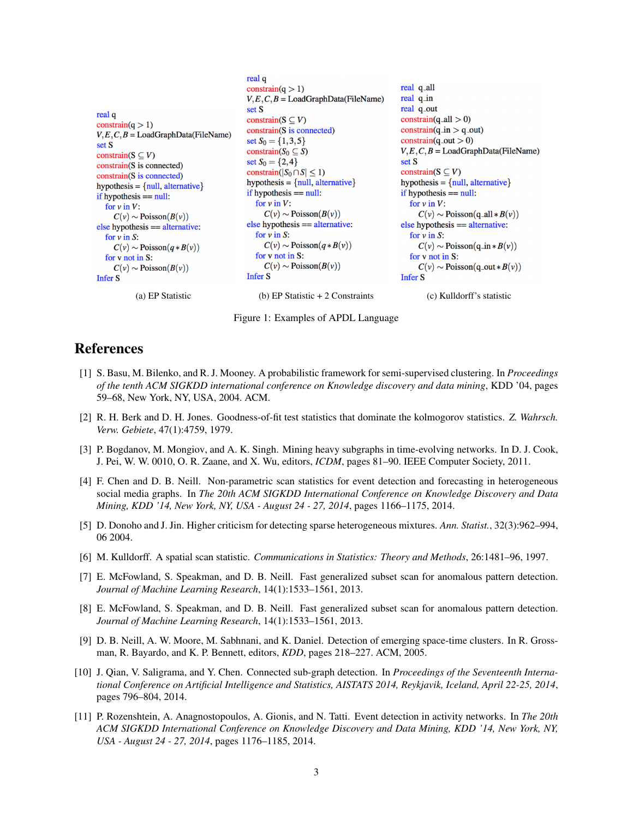```
real q
                                                                                                 real q_all
                                                constrain(q > 1)
                                                                                                 real q_in
                                                V, E, C, B =LoadGraphData(FileName)
                                                                                                 real q_out
                                                set S
real q
                                                                                                 constraint(q<sub>-</sub>all > 0)constrain(S \subseteq V)
constraint(q > 1)constrain(S is connected)
                                                                                                 constraint(q_in > q.out)V, E, C, B =LoadGraphData(FileName)
                                                                                                 constraint(q_out > 0)set S_0 = \{1, 3, 5\}set S
                                                                                                 V, E, C, B =LoadGraphData(FileName)
                                                constrain(S_0 \subseteq S)
constrain(S \subseteq V)
                                                set S_0 = \{2, 4\}set S
constrain(S is connected)
                                                                                                 constrain(S \subseteq V)
                                               constrain(|S_0 \cap S| \leq 1)
constrain(S is connected)
                                                hypothesis = {null, alternative}hypothesis = {null, alternative}hypothesis = {null, alternative}if hypothesis == null:
                                                                                                 if hypothesis == null:
if hypothesis == null:
                                                  for v in V:
                                                                                                   for v in V:
  for v in V:
                                                     C(v) \sim \text{Poisson}(B(v))C(v) \sim \text{Poisson}(q \text{all} * B(v))C(v) \sim \text{Poisson}(B(v))else hypothesis == alternative:
                                                                                                 else hypothesis == alternative:
else hypothesis == alternative:
                                                  for v in S:
                                                                                                   for v in S:
  for v in S:
                                                     C(v) \sim \text{Poisson}(q * B(v))C(v) \sim \text{Poisson}(q * B(v))C(v) \sim \text{Poisson}(q \text{ in } *B(v))for v not in S:
                                                                                                   for v not in S:
  for v not in S:
                                                     C(v) \sim \text{Poisson}(B(v))C(v) \sim \text{Poisson}(B(v))C(v) \sim \text{Poisson}(q_{\text{out}} * B(v))Infer S
                                                                                                 Infer S
Infer S
            (a) EP Statistic (b) EP Statistic + 2 Constraints (c) Kulldorff's statistic
```
Figure 1: Examples of APDL Language

## References

- [1] S. Basu, M. Bilenko, and R. J. Mooney. A probabilistic framework for semi-supervised clustering. In *Proceedings of the tenth ACM SIGKDD international conference on Knowledge discovery and data mining*, KDD '04, pages 59–68, New York, NY, USA, 2004. ACM.
- [2] R. H. Berk and D. H. Jones. Goodness-of-fit test statistics that dominate the kolmogorov statistics. *Z. Wahrsch. Verw. Gebiete*, 47(1):4759, 1979.
- [3] P. Bogdanov, M. Mongiov, and A. K. Singh. Mining heavy subgraphs in time-evolving networks. In D. J. Cook, J. Pei, W. W. 0010, O. R. Zaane, and X. Wu, editors, *ICDM*, pages 81–90. IEEE Computer Society, 2011.
- [4] F. Chen and D. B. Neill. Non-parametric scan statistics for event detection and forecasting in heterogeneous social media graphs. In *The 20th ACM SIGKDD International Conference on Knowledge Discovery and Data Mining, KDD '14, New York, NY, USA - August 24 - 27, 2014*, pages 1166–1175, 2014.
- [5] D. Donoho and J. Jin. Higher criticism for detecting sparse heterogeneous mixtures. *Ann. Statist.*, 32(3):962–994, 06 2004.
- [6] M. Kulldorff. A spatial scan statistic. *Communications in Statistics: Theory and Methods*, 26:1481–96, 1997.
- [7] E. McFowland, S. Speakman, and D. B. Neill. Fast generalized subset scan for anomalous pattern detection. *Journal of Machine Learning Research*, 14(1):1533–1561, 2013.
- [8] E. McFowland, S. Speakman, and D. B. Neill. Fast generalized subset scan for anomalous pattern detection. *Journal of Machine Learning Research*, 14(1):1533–1561, 2013.
- [9] D. B. Neill, A. W. Moore, M. Sabhnani, and K. Daniel. Detection of emerging space-time clusters. In R. Grossman, R. Bayardo, and K. P. Bennett, editors, *KDD*, pages 218–227. ACM, 2005.
- [10] J. Qian, V. Saligrama, and Y. Chen. Connected sub-graph detection. In *Proceedings of the Seventeenth International Conference on Artificial Intelligence and Statistics, AISTATS 2014, Reykjavik, Iceland, April 22-25, 2014*, pages 796–804, 2014.
- [11] P. Rozenshtein, A. Anagnostopoulos, A. Gionis, and N. Tatti. Event detection in activity networks. In *The 20th ACM SIGKDD International Conference on Knowledge Discovery and Data Mining, KDD '14, New York, NY, USA - August 24 - 27, 2014*, pages 1176–1185, 2014.